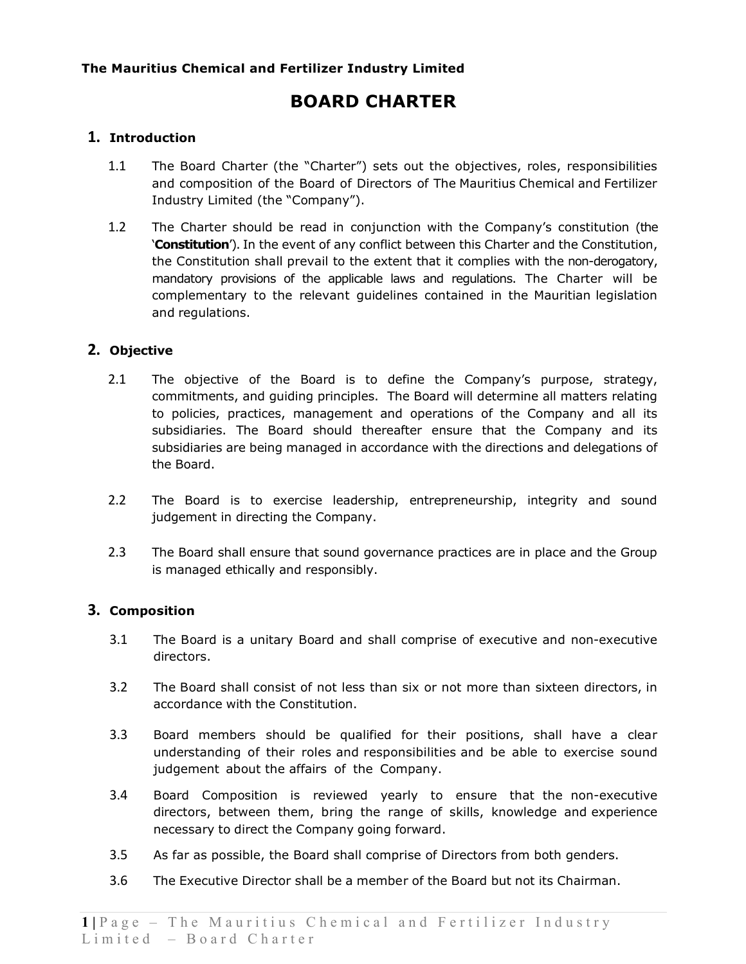# **BOARD CHARTER**

# **1. Introduction**

- 1.1 The Board Charter (the "Charter") sets out the objectives, roles, responsibilities and composition of the Board of Directors of The Mauritius Chemical and Fertilizer Industry Limited (the "Company").
- 1.2 The Charter should be read in conjunction with the Company's constitution (the '**Constitution**'). In the event of any conflict between this Charter and the Constitution, the Constitution shall prevail to the extent that it complies with the non-derogatory, mandatory provisions of the applicable laws and regulations. The Charter will be complementary to the relevant guidelines contained in the Mauritian legislation and regulations.

# **2. Objective**

- 2.1 The objective of the Board is to define the Company's purpose, strategy, commitments, and guiding principles. The Board will determine all matters relating to policies, practices, management and operations of the Company and all its subsidiaries. The Board should thereafter ensure that the Company and its subsidiaries are being managed in accordance with the directions and delegations of the Board.
- 2.2 The Board is to exercise leadership, entrepreneurship, integrity and sound judgement in directing the Company.
- 2.3 The Board shall ensure that sound governance practices are in place and the Group is managed ethically and responsibly.

# **3. Composition**

- 3.1 The Board is a unitary Board and shall comprise of executive and non-executive directors.
- 3.2 The Board shall consist of not less than six or not more than sixteen directors, in accordance with the Constitution.
- 3.3 Board members should be qualified for their positions, shall have a clear understanding of their roles and responsibilities and be able to exercise sound judgement about the affairs of the Company.
- 3.4 Board Composition is reviewed yearly to ensure that the non-executive directors, between them, bring the range of skills, knowledge and experience necessary to direct the Company going forward.
- 3.5 As far as possible, the Board shall comprise of Directors from both genders.
- 3.6 The Executive Director shall be a member of the Board but not its Chairman.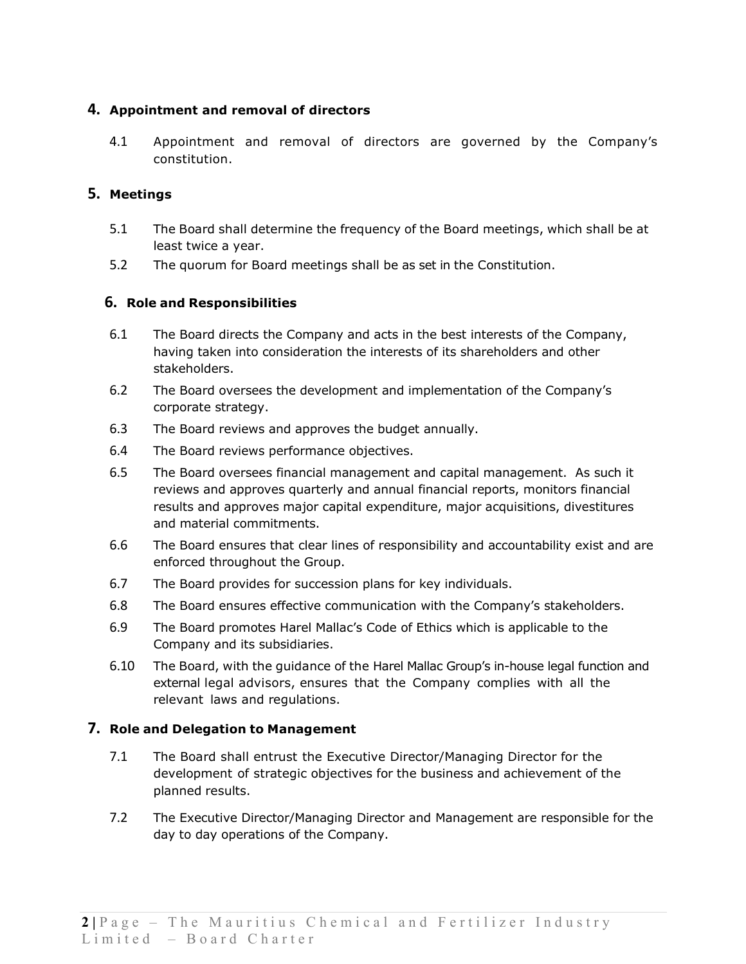# **4. Appointment and removal of directors**

4.1 Appointment and removal of directors are governed by the Company's constitution.

# **5. Meetings**

- 5.1 The Board shall determine the frequency of the Board meetings, which shall be at least twice a year.
- 5.2 The quorum for Board meetings shall be as set in the Constitution.

# **6. Role and Responsibilities**

- 6.1 The Board directs the Company and acts in the best interests of the Company, having taken into consideration the interests of its shareholders and other stakeholders.
- 6.2 The Board oversees the development and implementation of the Company's corporate strategy.
- 6.3 The Board reviews and approves the budget annually.
- 6.4 The Board reviews performance objectives.
- 6.5 The Board oversees financial management and capital management. As such it reviews and approves quarterly and annual financial reports, monitors financial results and approves major capital expenditure, major acquisitions, divestitures and material commitments.
- 6.6 The Board ensures that clear lines of responsibility and accountability exist and are enforced throughout the Group.
- 6.7 The Board provides for succession plans for key individuals.
- 6.8 The Board ensures effective communication with the Company's stakeholders.
- 6.9 The Board promotes Harel Mallac's Code of Ethics which is applicable to the Company and its subsidiaries.
- 6.10 The Board, with the guidance of the Harel Mallac Group's in-house legal function and external legal advisors, ensures that the Company complies with all the relevant laws and regulations.

# **7. Role and Delegation to Management**

- 7.1 The Board shall entrust the Executive Director/Managing Director for the development of strategic objectives for the business and achievement of the planned results.
- 7.2 The Executive Director/Managing Director and Management are responsible for the day to day operations of the Company.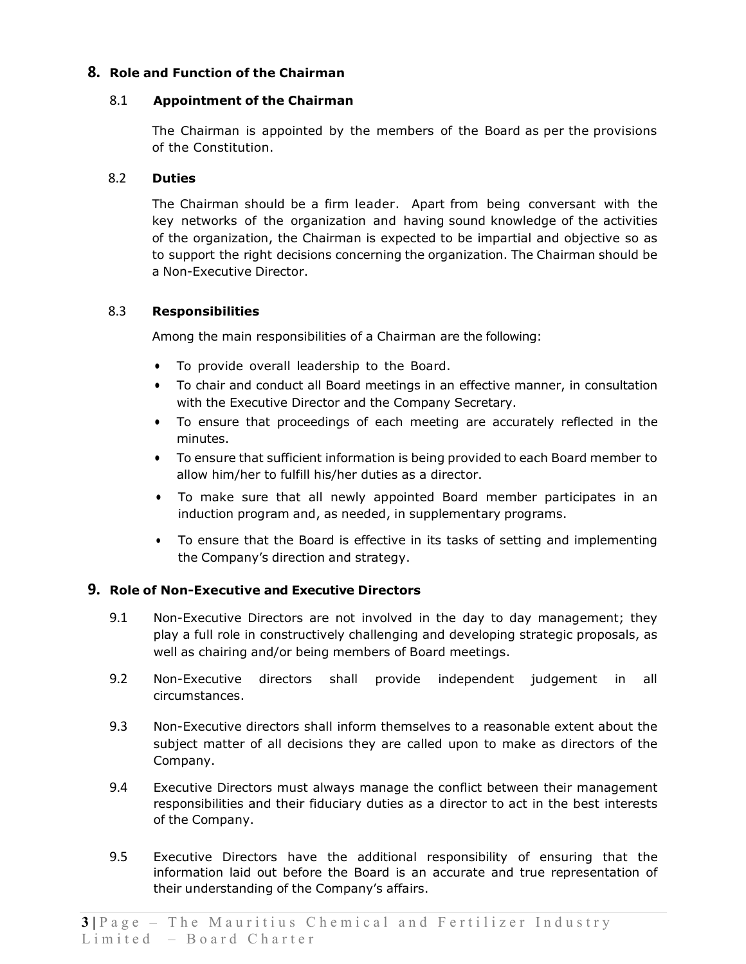# **8. Role and Function of the Chairman**

#### 8.1 **Appointment of the Chairman**

The Chairman is appointed by the members of the Board as per the provisions of the Constitution.

#### 8.2 **Duties**

The Chairman should be a firm leader. Apart from being conversant with the key networks of the organization and having sound knowledge of the activities of the organization, the Chairman is expected to be impartial and objective so as to support the right decisions concerning the organization. The Chairman should be a Non-Executive Director.

#### 8.3 **Responsibilities**

Among the main responsibilities of a Chairman are the following:

- To provide overall leadership to the Board.
- To chair and conduct all Board meetings in an effective manner, in consultation with the Executive Director and the Company Secretary.
- To ensure that proceedings of each meeting are accurately reflected in the minutes.
- To ensure that sufficient information is being provided to each Board member to allow him/her to fulfill his/her duties as a director.
- To make sure that all newly appointed Board member participates in an induction program and, as needed, in supplementary programs.
- To ensure that the Board is effective in its tasks of setting and implementing the Company's direction and strategy.

# **9. Role of Non-Executive and Executive Directors**

- 9.1 Non-Executive Directors are not involved in the day to day management; they play a full role in constructively challenging and developing strategic proposals, as well as chairing and/or being members of Board meetings.
- 9.2 Non-Executive directors shall provide independent judgement in all circumstances.
- 9.3 Non-Executive directors shall inform themselves to a reasonable extent about the subject matter of all decisions they are called upon to make as directors of the Company.
- 9.4 Executive Directors must always manage the conflict between their management responsibilities and their fiduciary duties as a director to act in the best interests of the Company.
- 9.5 Executive Directors have the additional responsibility of ensuring that the information laid out before the Board is an accurate and true representation of their understanding of the Company's affairs.